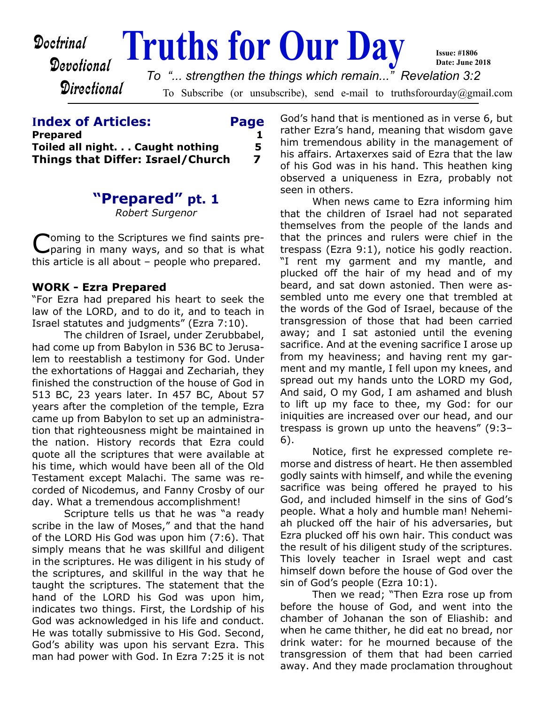

#### **Index of Articles: Page**

|                                   | _____ |
|-----------------------------------|-------|
| Prepared                          |       |
| Toiled all night. Caught nothing  | 5.    |
| Things that Differ: Israel/Church | 7     |

## **"Prepared" pt. 1**

*Robert Surgenor*

C oming to the Scriptures we find saints preparing in many ways, and so that is what this article is all about – people who prepared.

#### **WORK - Ezra Prepared**

"For Ezra had prepared his heart to seek the law of the LORD, and to do it, and to teach in Israel statutes and judgments" (Ezra 7:10).

The children of Israel, under Zerubbabel, had come up from Babylon in 536 BC to Jerusalem to reestablish a testimony for God. Under the exhortations of Haggai and Zechariah, they finished the construction of the house of God in 513 BC, 23 years later. In 457 BC, About 57 years after the completion of the temple, Ezra came up from Babylon to set up an administration that righteousness might be maintained in the nation. History records that Ezra could quote all the scriptures that were available at his time, which would have been all of the Old Testament except Malachi. The same was recorded of Nicodemus, and Fanny Crosby of our day. What a tremendous accomplishment!

Scripture tells us that he was "a ready scribe in the law of Moses," and that the hand of the LORD His God was upon him (7:6). That simply means that he was skillful and diligent in the scriptures. He was diligent in his study of the scriptures, and skillful in the way that he taught the scriptures. The statement that the hand of the LORD his God was upon him, indicates two things. First, the Lordship of his God was acknowledged in his life and conduct. He was totally submissive to His God. Second, God's ability was upon his servant Ezra. This man had power with God. In Ezra 7:25 it is not God's hand that is mentioned as in verse 6, but rather Ezra's hand, meaning that wisdom gave him tremendous ability in the management of his affairs. Artaxerxes said of Ezra that the law of his God was in his hand. This heathen king observed a uniqueness in Ezra, probably not seen in others.

When news came to Ezra informing him that the children of Israel had not separated themselves from the people of the lands and that the princes and rulers were chief in the trespass (Ezra 9:1), notice his godly reaction. "I rent my garment and my mantle, and plucked off the hair of my head and of my beard, and sat down astonied. Then were assembled unto me every one that trembled at the words of the God of Israel, because of the transgression of those that had been carried away; and I sat astonied until the evening sacrifice. And at the evening sacrifice I arose up from my heaviness; and having rent my garment and my mantle, I fell upon my knees, and spread out my hands unto the LORD my God, And said, O my God, I am ashamed and blush to lift up my face to thee, my God: for our iniquities are increased over our head, and our trespass is grown up unto the heavens" (9:3– 6).

Notice, first he expressed complete remorse and distress of heart. He then assembled godly saints with himself, and while the evening sacrifice was being offered he prayed to his God, and included himself in the sins of God's people. What a holy and humble man! Nehemiah plucked off the hair of his adversaries, but Ezra plucked off his own hair. This conduct was the result of his diligent study of the scriptures. This lovely teacher in Israel wept and cast himself down before the house of God over the sin of God's people (Ezra 10:1).

Then we read; "Then Ezra rose up from before the house of God, and went into the chamber of Johanan the son of Eliashib: and when he came thither, he did eat no bread, nor drink water: for he mourned because of the transgression of them that had been carried away. And they made proclamation throughout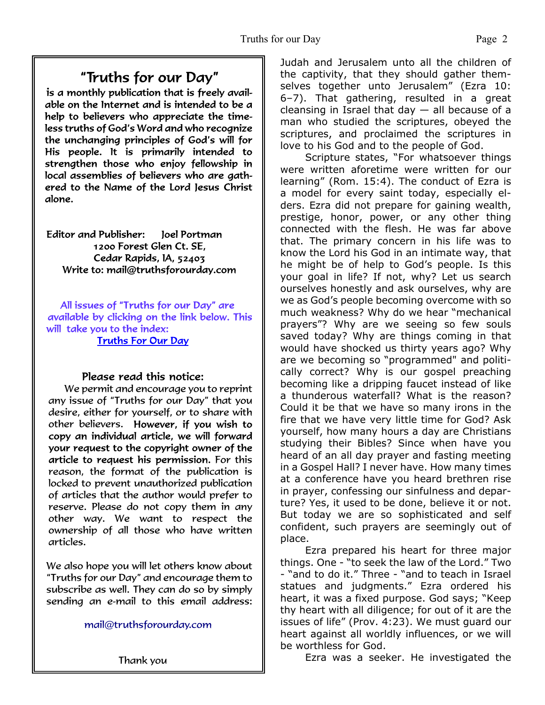## "Truths for our Day"

is a monthly publication that is freely available on the Internet and is intended to be a help to believers who appreciate the timeless truths of God's Word and who recognize the unchanging principles of God's will for His people. It is primarily intended to strengthen those who enjoy fellowship in local assemblies of believers who are gathered to the Name of the Lord Jesus Christ alone.

Editor and Publisher: loel Portman 1200 Forest Glen Ct. SE. Cedar Rapids, IA, 52403 Write to: mail@truthsforourday.com

All issues of "Truths for our Day" are available by clicking on the link below. This will take you to the index: **Truths For Our Day** 

#### Please read this notice:

We permit and encourage you to reprint any issue of "Truths for our Day" that you desire, either for yourself, or to share with other believers. However, if you wish to<br>copy an individual article, we will forward your request to the copyright owner of the article to request his permission. For this reason, the format of the publication is locked to prevent unauthorized publication of articles that the author would prefer to reserve. Please do not copy them in any other way. We want to respect the ownership of all those who have written articles.

 We also hope you will let others know about "Truths for our Day" and encourage them to subscribe as well. They can do so by simply sending an e-mail to this email address:

mail@truthsforourday.com

Judah and Jerusalem unto all the children of the captivity, that they should gather themselves together unto Jerusalem" (Ezra 10: 6–7). That gathering, resulted in a great cleansing in Israel that day  $-$  all because of a man who studied the scriptures, obeyed the scriptures, and proclaimed the scriptures in love to his God and to the people of God.

Scripture states, "For whatsoever things were written aforetime were written for our learning" (Rom. 15:4). The conduct of Ezra is a model for every saint today, especially elders. Ezra did not prepare for gaining wealth, prestige, honor, power, or any other thing connected with the flesh. He was far above that. The primary concern in his life was to know the Lord his God in an intimate way, that he might be of help to God's people. Is this your goal in life? If not, why? Let us search ourselves honestly and ask ourselves, why are we as God's people becoming overcome with so much weakness? Why do we hear "mechanical prayers"? Why are we seeing so few souls saved today? Why are things coming in that would have shocked us thirty years ago? Why are we becoming so "programmed" and politically correct? Why is our gospel preaching becoming like a dripping faucet instead of like a thunderous waterfall? What is the reason? Could it be that we have so many irons in the fire that we have very little time for God? Ask yourself, how many hours a day are Christians studying their Bibles? Since when have you heard of an all day prayer and fasting meeting in a Gospel Hall? I never have. How many times at a conference have you heard brethren rise in prayer, confessing our sinfulness and departure? Yes, it used to be done, believe it or not. But today we are so sophisticated and self confident, such prayers are seemingly out of place.

Ezra prepared his heart for three major things. One - "to seek the law of the Lord." Two - "and to do it." Three - "and to teach in Israel statues and judgments." Ezra ordered his heart, it was a fixed purpose. God says; "Keep thy heart with all diligence; for out of it are the issues of life" (Prov. 4:23). We must guard our heart against all worldly influences, or we will be worthless for God.

Ezra was a seeker. He investigated the

Thank you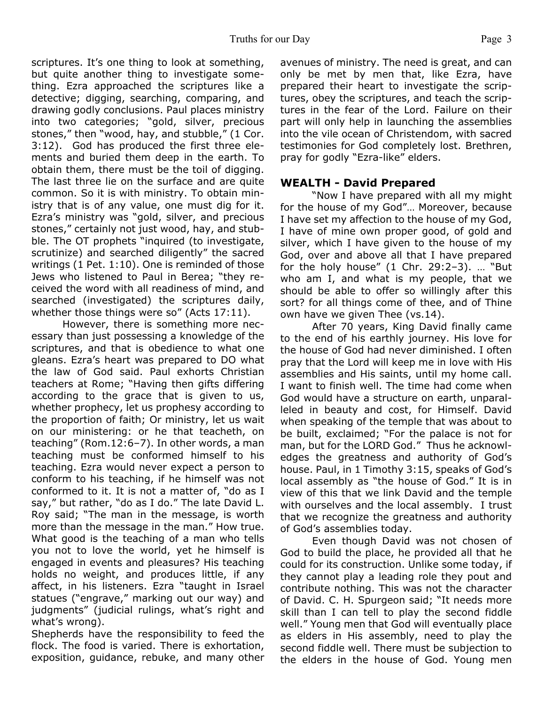scriptures. It's one thing to look at something, but quite another thing to investigate something. Ezra approached the scriptures like a detective; digging, searching, comparing, and drawing godly conclusions. Paul places ministry into two categories; "gold, silver, precious stones," then "wood, hay, and stubble," (1 Cor. 3:12). God has produced the first three elements and buried them deep in the earth. To obtain them, there must be the toil of digging. The last three lie on the surface and are quite common. So it is with ministry. To obtain ministry that is of any value, one must dig for it. Ezra's ministry was "gold, silver, and precious stones," certainly not just wood, hay, and stubble. The OT prophets "inquired (to investigate, scrutinize) and searched diligently" the sacred writings (1 Pet. 1:10). One is reminded of those Jews who listened to Paul in Berea; "they received the word with all readiness of mind, and searched (investigated) the scriptures daily, whether those things were so" (Acts 17:11).

However, there is something more necessary than just possessing a knowledge of the scriptures, and that is obedience to what one gleans. Ezra's heart was prepared to DO what the law of God said. Paul exhorts Christian teachers at Rome; "Having then gifts differing according to the grace that is given to us, whether prophecy, let us prophesy according to the proportion of faith; Or ministry, let us wait on our ministering: or he that teacheth, on teaching" (Rom.12:6–7). In other words, a man teaching must be conformed himself to his teaching. Ezra would never expect a person to conform to his teaching, if he himself was not conformed to it. It is not a matter of, "do as I say," but rather, "do as I do." The late David L. Roy said; "The man in the message, is worth more than the message in the man." How true. What good is the teaching of a man who tells you not to love the world, yet he himself is engaged in events and pleasures? His teaching holds no weight, and produces little, if any affect, in his listeners. Ezra "taught in Israel statues ("engrave," marking out our way) and judgments" (judicial rulings, what's right and what's wrong).

Shepherds have the responsibility to feed the flock. The food is varied. There is exhortation, exposition, guidance, rebuke, and many other

avenues of ministry. The need is great, and can only be met by men that, like Ezra, have prepared their heart to investigate the scriptures, obey the scriptures, and teach the scriptures in the fear of the Lord. Failure on their part will only help in launching the assemblies into the vile ocean of Christendom, with sacred testimonies for God completely lost. Brethren, pray for godly "Ezra-like" elders.

#### **WEALTH - David Prepared**

"Now I have prepared with all my might for the house of my God"… Moreover, because I have set my affection to the house of my God, I have of mine own proper good, of gold and silver, which I have given to the house of my God, over and above all that I have prepared for the holy house" (1 Chr. 29:2–3). … "But who am I, and what is my people, that we should be able to offer so willingly after this sort? for all things come of thee, and of Thine own have we given Thee (vs.14).

After 70 years, King David finally came to the end of his earthly journey. His love for the house of God had never diminished. I often pray that the Lord will keep me in love with His assemblies and His saints, until my home call. I want to finish well. The time had come when God would have a structure on earth, unparalleled in beauty and cost, for Himself. David when speaking of the temple that was about to be built, exclaimed; "For the palace is not for man, but for the LORD God." Thus he acknowledges the greatness and authority of God's house. Paul, in 1 Timothy 3:15, speaks of God's local assembly as "the house of God." It is in view of this that we link David and the temple with ourselves and the local assembly. I trust that we recognize the greatness and authority of God's assemblies today.

Even though David was not chosen of God to build the place, he provided all that he could for its construction. Unlike some today, if they cannot play a leading role they pout and contribute nothing. This was not the character of David. C. H. Spurgeon said; "It needs more skill than I can tell to play the second fiddle well." Young men that God will eventually place as elders in His assembly, need to play the second fiddle well. There must be subjection to the elders in the house of God. Young men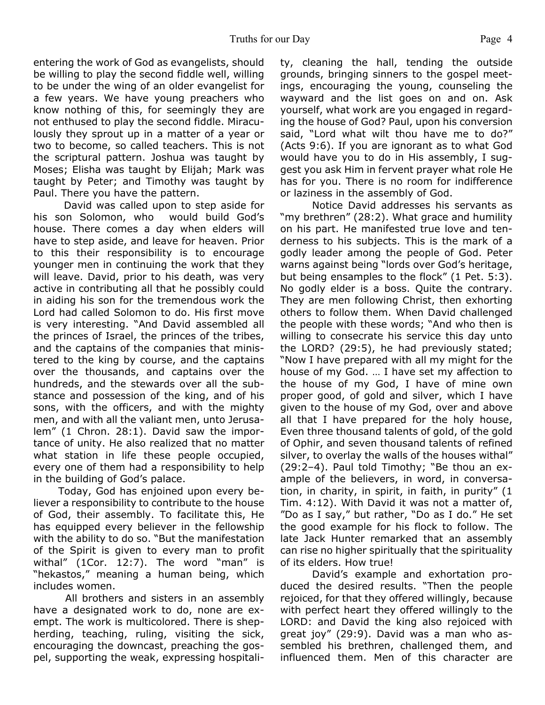entering the work of God as evangelists, should be willing to play the second fiddle well, willing to be under the wing of an older evangelist for a few years. We have young preachers who know nothing of this, for seemingly they are not enthused to play the second fiddle. Miraculously they sprout up in a matter of a year or two to become, so called teachers. This is not the scriptural pattern. Joshua was taught by Moses; Elisha was taught by Elijah; Mark was taught by Peter; and Timothy was taught by Paul. There you have the pattern.

David was called upon to step aside for his son Solomon, who would build God's house. There comes a day when elders will have to step aside, and leave for heaven. Prior to this their responsibility is to encourage younger men in continuing the work that they will leave. David, prior to his death, was very active in contributing all that he possibly could in aiding his son for the tremendous work the Lord had called Solomon to do. His first move is very interesting. "And David assembled all the princes of Israel, the princes of the tribes, and the captains of the companies that ministered to the king by course, and the captains over the thousands, and captains over the hundreds, and the stewards over all the substance and possession of the king, and of his sons, with the officers, and with the mighty men, and with all the valiant men, unto Jerusalem" (1 Chron. 28:1). David saw the importance of unity. He also realized that no matter what station in life these people occupied, every one of them had a responsibility to help in the building of God's palace.

Today, God has enjoined upon every believer a responsibility to contribute to the house of God, their assembly. To facilitate this, He has equipped every believer in the fellowship with the ability to do so. "But the manifestation of the Spirit is given to every man to profit withal" (1Cor. 12:7). The word "man" is "hekastos," meaning a human being, which includes women.

All brothers and sisters in an assembly have a designated work to do, none are exempt. The work is multicolored. There is shepherding, teaching, ruling, visiting the sick, encouraging the downcast, preaching the gospel, supporting the weak, expressing hospitality, cleaning the hall, tending the outside grounds, bringing sinners to the gospel meetings, encouraging the young, counseling the wayward and the list goes on and on. Ask yourself, what work are you engaged in regarding the house of God? Paul, upon his conversion said, "Lord what wilt thou have me to do?" (Acts 9:6). If you are ignorant as to what God would have you to do in His assembly, I suggest you ask Him in fervent prayer what role He has for you. There is no room for indifference or laziness in the assembly of God.

Notice David addresses his servants as "my brethren" (28:2). What grace and humility on his part. He manifested true love and tenderness to his subjects. This is the mark of a godly leader among the people of God. Peter warns against being "lords over God's heritage, but being ensamples to the flock" (1 Pet. 5:3). No godly elder is a boss. Quite the contrary. They are men following Christ, then exhorting others to follow them. When David challenged the people with these words; "And who then is willing to consecrate his service this day unto the LORD? (29:5), he had previously stated; "Now I have prepared with all my might for the house of my God. … I have set my affection to the house of my God, I have of mine own proper good, of gold and silver, which I have given to the house of my God, over and above all that I have prepared for the holy house, Even three thousand talents of gold, of the gold of Ophir, and seven thousand talents of refined silver, to overlay the walls of the houses withal" (29:2–4). Paul told Timothy; "Be thou an example of the believers, in word, in conversation, in charity, in spirit, in faith, in purity" (1 Tim. 4:12). With David it was not a matter of, "Do as I say," but rather, "Do as I do." He set the good example for his flock to follow. The late Jack Hunter remarked that an assembly can rise no higher spiritually that the spirituality of its elders. How true!

David's example and exhortation produced the desired results. "Then the people rejoiced, for that they offered willingly, because with perfect heart they offered willingly to the LORD: and David the king also rejoiced with great joy" (29:9). David was a man who assembled his brethren, challenged them, and influenced them. Men of this character are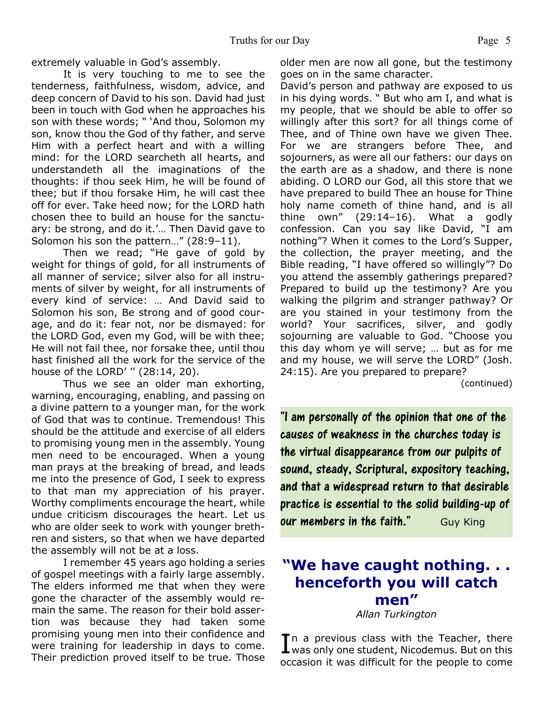extremely valuable in God's assembly.

It is very touching to me to see the tenderness, faithfulness, wisdom, advice, and deep concern of David to his son. David had just been in touch with God when he approaches his son with these words; " 'And thou, Solomon my son, know thou the God of thy father, and serve Him with a perfect heart and with a willing mind: for the LORD searcheth all hearts, and understandeth all the imaginations of the thoughts: if thou seek Him, he will be found of thee; but if thou forsake Him, he will cast thee off for ever. Take heed now; for the LORD hath chosen thee to build an house for the sanctuary: be strong, and do it.'… Then David gave to Solomon his son the pattern…" (28:9–11).

Then we read; "He gave of gold by weight for things of gold, for all instruments of all manner of service; silver also for all instruments of silver by weight, for all instruments of every kind of service: … And David said to Solomon his son, Be strong and of good courage, and do it: fear not, nor be dismayed: for the LORD God, even my God, will be with thee; He will not fail thee, nor forsake thee, until thou hast finished all the work for the service of the house of the LORD' '' (28:14, 20).

Thus we see an older man exhorting, warning, encouraging, enabling, and passing on a divine pattern to a younger man, for the work of God that was to continue. Tremendous! This should be the attitude and exercise of all elders to promising young men in the assembly. Young men need to be encouraged. When a young man prays at the breaking of bread, and leads me into the presence of God, I seek to express to that man my appreciation of his prayer. Worthy compliments encourage the heart, while undue criticism discourages the heart. Let us who are older seek to work with younger brethren and sisters, so that when we have departed the assembly will not be at a loss.

I remember 45 years ago holding a series of gospel meetings with a fairly large assembly. The elders informed me that when they were gone the character of the assembly would remain the same. The reason for their bold assertion was because they had taken some promising young men into their confidence and were training for leadership in days to come. Their prediction proved itself to be true. Those older men are now all gone, but the testimony goes on in the same character.

David's person and pathway are exposed to us in his dying words. " But who am I, and what is my people, that we should be able to offer so willingly after this sort? for all things come of Thee, and of Thine own have we given Thee. For we are strangers before Thee, and sojourners, as were all our fathers: our days on the earth are as a shadow, and there is none abiding. O LORD our God, all this store that we have prepared to build Thee an house for Thine holy name cometh of thine hand, and is all thine own"  $(29:14-16)$ . What a godly confession. Can you say like David, "I am nothing"? When it comes to the Lord's Supper, the collection, the prayer meeting, and the Bible reading, "I have offered so willingly"? Do you attend the assembly gatherings prepared? Prepared to build up the testimony? Are you walking the pilgrim and stranger pathway? Or are you stained in your testimony from the world? Your sacrifices, silver, and godly sojourning are valuable to God. "Choose you this day whom ye will serve; … but as for me and my house, we will serve the LORD" (Josh. 24:15). Are you prepared to prepare?

(continued)

"I am personally of the opinion that one of the causes of weakness in the churches today is the virtual disappearance from our pulpits of sound, steady, Scriptural, expository teaching, and that a widespread return to that desirable practice is essential to the solid building-up of *our members in the faith.* Guy King

## **"We have caught nothing. . . henceforth you will catch men"**

*Allan Turkington*

In a previous class with the Teacher, there<br>Was only one student, Nicodemus. But on this In a previous class with the Teacher, there occasion it was difficult for the people to come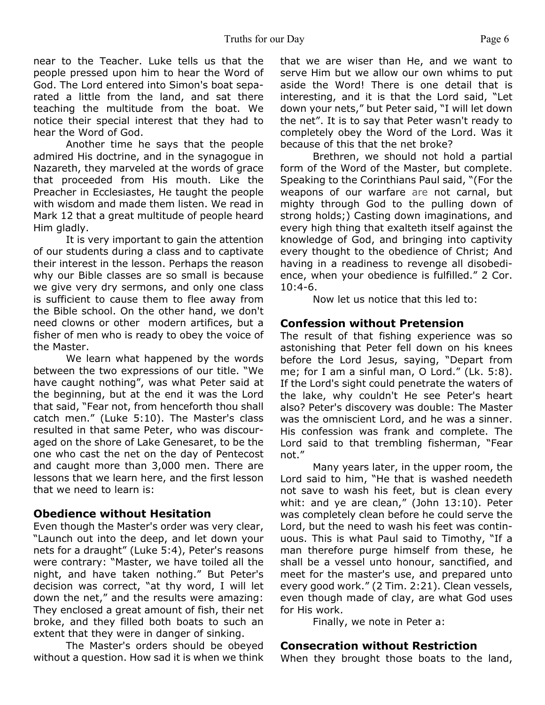near to the Teacher. Luke tells us that the people pressed upon him to hear the Word of God. The Lord entered into Simon's boat separated a little from the land, and sat there teaching the multitude from the boat. We notice their special interest that they had to hear the Word of God.

 Another time he says that the people admired His doctrine, and in the synagogue in Nazareth, they marveled at the words of grace that proceeded from His mouth. Like the Preacher in Ecclesiastes, He taught the people with wisdom and made them listen. We read in Mark 12 that a great multitude of people heard Him gladly.

 It is very important to gain the attention of our students during a class and to captivate their interest in the lesson. Perhaps the reason why our Bible classes are so small is because we give very dry sermons, and only one class is sufficient to cause them to flee away from the Bible school. On the other hand, we don't need clowns or other modern artifices, but a fisher of men who is ready to obey the voice of the Master.

 We learn what happened by the words between the two expressions of our title. "We have caught nothing", was what Peter said at the beginning, but at the end it was the Lord that said, "Fear not, from henceforth thou shall catch men." (Luke 5:10). The Master's class resulted in that same Peter, who was discouraged on the shore of Lake Genesaret, to be the one who cast the net on the day of Pentecost and caught more than 3,000 men. There are lessons that we learn here, and the first lesson that we need to learn is:

#### **Obedience without Hesitation**

Even though the Master's order was very clear, "Launch out into the deep, and let down your nets for a draught" (Luke 5:4), Peter's reasons were contrary: "Master, we have toiled all the night, and have taken nothing." But Peter's decision was correct, "at thy word, I will let down the net," and the results were amazing: They enclosed a great amount of fish, their net broke, and they filled both boats to such an extent that they were in danger of sinking.

 The Master's orders should be obeyed without a question. How sad it is when we think

that we are wiser than He, and we want to serve Him but we allow our own whims to put aside the Word! There is one detail that is interesting, and it is that the Lord said, "Let down your nets," but Peter said, "I will let down the net". It is to say that Peter wasn't ready to completely obey the Word of the Lord. Was it because of this that the net broke?

 Brethren, we should not hold a partial form of the Word of the Master, but complete. Speaking to the Corinthians Paul said, "(For the weapons of our warfare are not carnal, but mighty through God to the pulling down of strong holds;) Casting down imaginations, and every high thing that exalteth itself against the knowledge of God, and bringing into captivity every thought to the obedience of Christ; And having in a readiness to revenge all disobedience, when your obedience is fulfilled." 2 Cor. 10:4-6.

Now let us notice that this led to:

## **Confession without Pretension**

The result of that fishing experience was so astonishing that Peter fell down on his knees before the Lord Jesus, saying, "Depart from me; for I am a sinful man, O Lord." (Lk. 5:8). If the Lord's sight could penetrate the waters of the lake, why couldn't He see Peter's heart also? Peter's discovery was double: The Master was the omniscient Lord, and he was a sinner. His confession was frank and complete. The Lord said to that trembling fisherman, "Fear not."

 Many years later, in the upper room, the Lord said to him, "He that is washed needeth not save to wash his feet, but is clean every whit: and ye are clean," (John 13:10). Peter was completely clean before he could serve the Lord, but the need to wash his feet was continuous. This is what Paul said to Timothy, "If a man therefore purge himself from these, he shall be a vessel unto honour, sanctified, and meet for the master's use, and prepared unto every good work." (2 Tim. 2:21). Clean vessels, even though made of clay, are what God uses for His work.

Finally, we note in Peter a:

### **Consecration without Restriction**

When they brought those boats to the land,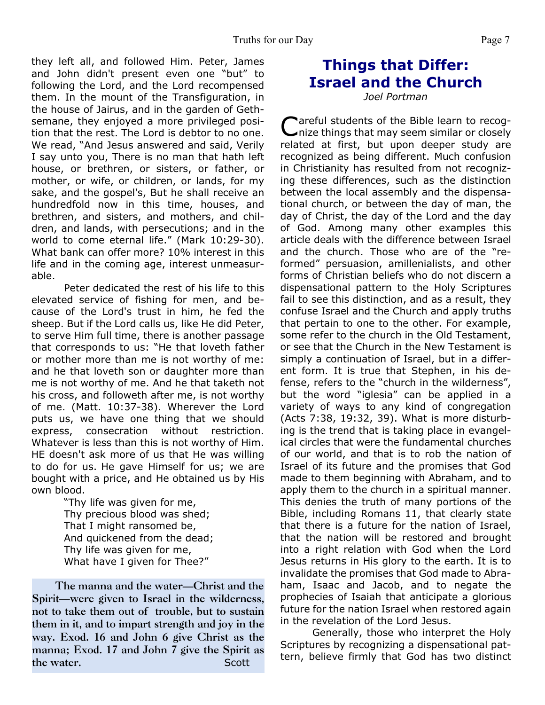they left all, and followed Him. Peter, James and John didn't present even one "but" to following the Lord, and the Lord recompensed them. In the mount of the Transfiguration, in the house of Jairus, and in the garden of Gethsemane, they enjoyed a more privileged position that the rest. The Lord is debtor to no one. We read, "And Jesus answered and said, Verily I say unto you, There is no man that hath left house, or brethren, or sisters, or father, or mother, or wife, or children, or lands, for my sake, and the gospel's, But he shall receive an hundredfold now in this time, houses, and brethren, and sisters, and mothers, and children, and lands, with persecutions; and in the world to come eternal life." (Mark 10:29-30). What bank can offer more? 10% interest in this life and in the coming age, interest unmeasurable.

 Peter dedicated the rest of his life to this elevated service of fishing for men, and because of the Lord's trust in him, he fed the sheep. But if the Lord calls us, like He did Peter, to serve Him full time, there is another passage that corresponds to us: "He that loveth father or mother more than me is not worthy of me: and he that loveth son or daughter more than me is not worthy of me. And he that taketh not his cross, and followeth after me, is not worthy of me. (Matt. 10:37-38). Wherever the Lord puts us, we have one thing that we should express, consecration without restriction. Whatever is less than this is not worthy of Him. HE doesn't ask more of us that He was willing to do for us. He gave Himself for us; we are bought with a price, and He obtained us by His own blood.

> "Thy life was given for me, Thy precious blood was shed; That I might ransomed be, And quickened from the dead; Thy life was given for me, What have I given for Thee?"

 **The manna and the water—Christ and the Spirit—were given to Israel in the wilderness, not to take them out of trouble, but to sustain them in it, and to impart strength and joy in the way. Exod. 16 and John 6 give Christ as the manna; Exod. 17 and John 7 give the Spirit as the water.** Scott

# **Things that Differ: Israel and the Church**

*Joel Portman*

Careful students of the Bible learn to recog-<br>Cnize things that may seem similar or closely areful students of the Bible learn to recogrelated at first, but upon deeper study are recognized as being different. Much confusion in Christianity has resulted from not recognizing these differences, such as the distinction between the local assembly and the dispensational church, or between the day of man, the day of Christ, the day of the Lord and the day of God. Among many other examples this article deals with the difference between Israel and the church. Those who are of the "reformed" persuasion, amillenialists, and other forms of Christian beliefs who do not discern a dispensational pattern to the Holy Scriptures fail to see this distinction, and as a result, they confuse Israel and the Church and apply truths that pertain to one to the other. For example, some refer to the church in the Old Testament, or see that the Church in the New Testament is simply a continuation of Israel, but in a different form. It is true that Stephen, in his defense, refers to the "church in the wilderness", but the word "iglesia" can be applied in a variety of ways to any kind of congregation (Acts 7:38, 19:32, 39). What is more disturbing is the trend that is taking place in evangelical circles that were the fundamental churches of our world, and that is to rob the nation of Israel of its future and the promises that God made to them beginning with Abraham, and to apply them to the church in a spiritual manner. This denies the truth of many portions of the Bible, including Romans 11, that clearly state that there is a future for the nation of Israel, that the nation will be restored and brought into a right relation with God when the Lord Jesus returns in His glory to the earth. It is to invalidate the promises that God made to Abraham, Isaac and Jacob, and to negate the prophecies of Isaiah that anticipate a glorious future for the nation Israel when restored again in the revelation of the Lord Jesus.

 Generally, those who interpret the Holy Scriptures by recognizing a dispensational pattern, believe firmly that God has two distinct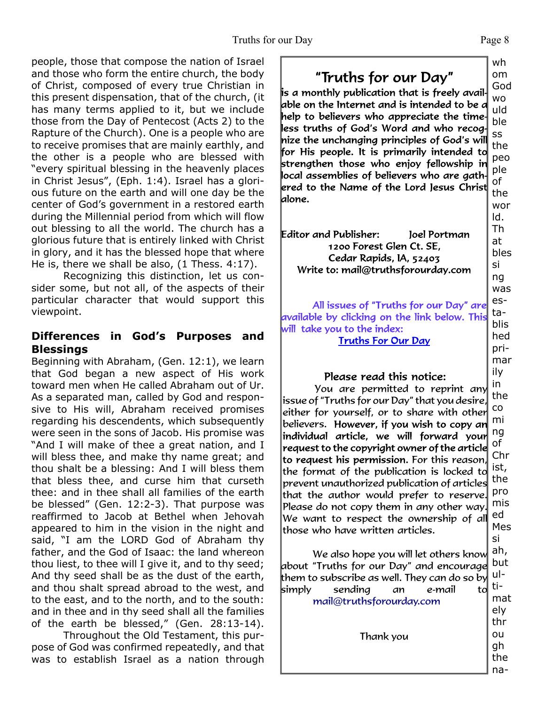people, those that compose the nation of Israel and those who form the entire church, the body of Christ, composed of every true Christian in this present dispensation, that of the church, (it has many terms applied to it, but we include those from the Day of Pentecost (Acts 2) to the Rapture of the Church). One is a people who are to receive promises that are mainly earthly, and the other is a people who are blessed with "every spiritual blessing in the heavenly places in Christ Jesus", (Eph. 1:4). Israel has a glorious future on the earth and will one day be the center of God's government in a restored earth during the Millennial period from which will flow out blessing to all the world. The church has a glorious future that is entirely linked with Christ in glory, and it has the blessed hope that where He is, there we shall be also, (1 Thess. 4:17).

 Recognizing this distinction, let us consider some, but not all, of the aspects of their particular character that would support this viewpoint.

## **Differences in God's Purposes and Blessings**

Beginning with Abraham, (Gen. 12:1), we learn that God began a new aspect of His work toward men when He called Abraham out of Ur. As a separated man, called by God and responsive to His will, Abraham received promises regarding his descendents, which subsequently were seen in the sons of Jacob. His promise was "And I will make of thee a great nation, and I will bless thee, and make thy name great; and thou shalt be a blessing: And I will bless them that bless thee, and curse him that curseth thee: and in thee shall all families of the earth be blessed" (Gen. 12:2-3). That purpose was reaffirmed to Jacob at Bethel when Jehovah appeared to him in the vision in the night and said, "I am the LORD God of Abraham thy father, and the God of Isaac: the land whereon thou liest, to thee will I give it, and to thy seed; And thy seed shall be as the dust of the earth, and thou shalt spread abroad to the west, and to the east, and to the north, and to the south: and in thee and in thy seed shall all the families of the earth be blessed," (Gen. 28:13-14).

 Throughout the Old Testament, this purpose of God was confirmed repeatedly, and that was to establish Israel as a nation through

"Truths for our Day"  $\mathop{\sf l\hskip-2.5pt\bar{\hskip-1pt\bar{\hskip-1pt\bar{\hskip-1pt\bar{\hskip-1pt\bar{\hskip-}}\!\!}}$  is a monthly publication that is freely avail-

able on the Internet and is intended to be a help to believers who appreciate the timeless truths of God's Word and who recog. nize the unchanging principles of God's will for His people. It is primarily intended to strengthen those who enjoy fellowship in local assemblies of believers who are gathered to the Name of the Lord Jesus Christ $\parallel$ lalone.

Editor and Publisher: Joel Portman 1200 Forest Glen Ct. SE. Cedar Rapids, IA, 52403 Write to: mail@truthsforourday.com

All issues of "Truths for our Day" are available by clicking on the link below. This will take you to the index: **Truths For Our Day** 

### Please read this notice:

in You are permitted to reprint any issue of "Truths for our Day" that you desire, co either for yourself, or to share with other mi believers. However, if you wish to copy an ng individual article, we will forward your of request to the copyright owner of the article to request his permission. For this reason, the format of the publication is locked to prevent unauthorized publication of articles that the author would prefer to reserve. Please do not copy them in any other way. We want to respect the ownership of all those who have written articles.

We also hope you will let others know about "Truths for our Day" and encourage them to subscribe as well. They can do so by simply sending an e-mail to mail@truthsforourday.com

Thank you

wh om God

wo uld ble ss the peo ple of the wor ld. Th at bles si ng was establis hed primar ily the Chr ist, the pro mis ed Mes si ah, but ultimat ely thr ou gh the na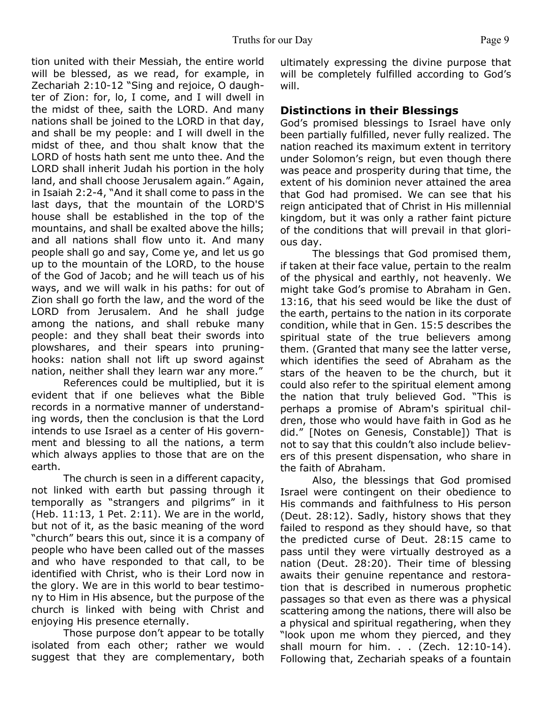tion united with their Messiah, the entire world will be blessed, as we read, for example, in Zechariah 2:10-12 "Sing and rejoice, O daughter of Zion: for, lo, I come, and I will dwell in the midst of thee, saith the LORD. And many nations shall be joined to the LORD in that day, and shall be my people: and I will dwell in the midst of thee, and thou shalt know that the LORD of hosts hath sent me unto thee. And the LORD shall inherit Judah his portion in the holy land, and shall choose Jerusalem again." Again, in Isaiah 2:2-4, "And it shall come to pass in the last days, that the mountain of the LORD'S house shall be established in the top of the mountains, and shall be exalted above the hills; and all nations shall flow unto it. And many people shall go and say, Come ye, and let us go up to the mountain of the LORD, to the house of the God of Jacob; and he will teach us of his ways, and we will walk in his paths: for out of Zion shall go forth the law, and the word of the LORD from Jerusalem. And he shall judge among the nations, and shall rebuke many people: and they shall beat their swords into plowshares, and their spears into pruninghooks: nation shall not lift up sword against nation, neither shall they learn war any more."

 References could be multiplied, but it is evident that if one believes what the Bible records in a normative manner of understanding words, then the conclusion is that the Lord intends to use Israel as a center of His government and blessing to all the nations, a term which always applies to those that are on the earth.

 The church is seen in a different capacity, not linked with earth but passing through it temporally as "strangers and pilgrims" in it (Heb. 11:13, 1 Pet. 2:11). We are in the world, but not of it, as the basic meaning of the word "church" bears this out, since it is a company of people who have been called out of the masses and who have responded to that call, to be identified with Christ, who is their Lord now in the glory. We are in this world to bear testimony to Him in His absence, but the purpose of the church is linked with being with Christ and enjoying His presence eternally.

Those purpose don't appear to be totally isolated from each other; rather we would suggest that they are complementary, both ultimately expressing the divine purpose that will be completely fulfilled according to God's will.

### **Distinctions in their Blessings**

God's promised blessings to Israel have only been partially fulfilled, never fully realized. The nation reached its maximum extent in territory under Solomon's reign, but even though there was peace and prosperity during that time, the extent of his dominion never attained the area that God had promised. We can see that his reign anticipated that of Christ in His millennial kingdom, but it was only a rather faint picture of the conditions that will prevail in that glorious day.

 The blessings that God promised them, if taken at their face value, pertain to the realm of the physical and earthly, not heavenly. We might take God's promise to Abraham in Gen. 13:16, that his seed would be like the dust of the earth, pertains to the nation in its corporate condition, while that in Gen. 15:5 describes the spiritual state of the true believers among them. (Granted that many see the latter verse, which identifies the seed of Abraham as the stars of the heaven to be the church, but it could also refer to the spiritual element among the nation that truly believed God. "This is perhaps a promise of Abram's spiritual children, those who would have faith in God as he did." [Notes on Genesis, Constable]) That is not to say that this couldn't also include believers of this present dispensation, who share in the faith of Abraham.

 Also, the blessings that God promised Israel were contingent on their obedience to His commands and faithfulness to His person (Deut. 28:12). Sadly, history shows that they failed to respond as they should have, so that the predicted curse of Deut. 28:15 came to pass until they were virtually destroyed as a nation (Deut. 28:20). Their time of blessing awaits their genuine repentance and restoration that is described in numerous prophetic passages so that even as there was a physical scattering among the nations, there will also be a physical and spiritual regathering, when they "look upon me whom they pierced, and they shall mourn for him. . . (Zech. 12:10-14). Following that, Zechariah speaks of a fountain